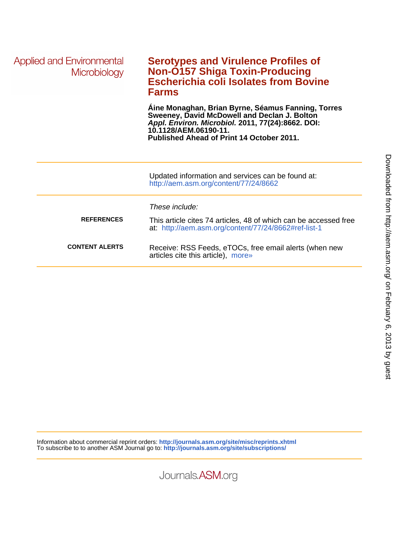| <b>Applied and Environmental</b><br><b>Microbiology</b> | <b>Serotypes and Virulence Profiles of</b><br><b>Non-O157 Shiga Toxin-Producing</b><br><b>Escherichia coli Isolates from Bovine</b><br><b>Farms</b>                                                                           |
|---------------------------------------------------------|-------------------------------------------------------------------------------------------------------------------------------------------------------------------------------------------------------------------------------|
|                                                         | Aine Monaghan, Brian Byrne, Séamus Fanning, Torres<br>Sweeney, David McDowell and Declan J. Bolton<br>Appl. Environ. Microbiol. 2011, 77(24):8662. DOI:<br>10.1128/AEM.06190-11.<br>Published Ahead of Print 14 October 2011. |
|                                                         | Updated information and services can be found at:<br>http://aem.asm.org/content/77/24/8662                                                                                                                                    |
|                                                         | These include:                                                                                                                                                                                                                |
| <b>REFERENCES</b>                                       | This article cites 74 articles, 48 of which can be accessed free<br>at: http://aem.asm.org/content/77/24/8662#ref-list-1                                                                                                      |
| <b>CONTENT ALERTS</b>                                   | Receive: RSS Feeds, eTOCs, free email alerts (when new<br>articles cite this article), more»                                                                                                                                  |
|                                                         |                                                                                                                                                                                                                               |

Information about commercial reprint orders: **http://journals.asm.org/site/misc/reprints.xhtml** To subscribe to to another ASM Journal go to: **http://journals.asm.org/site/subscriptions/**

Journals.ASM.org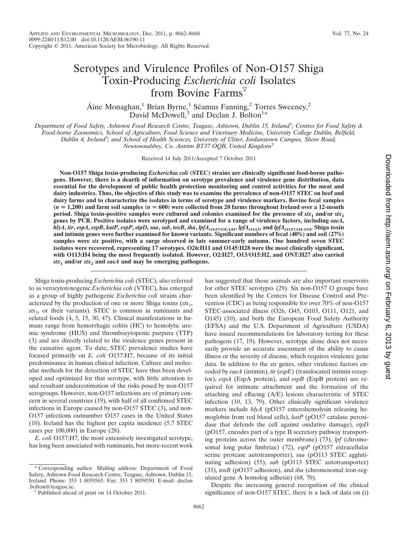# Serotypes and Virulence Profiles of Non-O157 Shiga Toxin-Producing *Escherichia coli* Isolates from Bovine Farms $V$

Áine Monaghan,<sup>1</sup> Brian Byrne,<sup>1</sup> Séamus Fanning,<sup>2</sup> Torres Sweeney,<sup>2</sup> David McDowell, $3$  and Declan J. Bolton<sup>1</sup>\*

*Department of Food Safety, Ashtown Food Research Centre, Teagasc, Ashtown, Dublin 15, Ireland*<sup>1</sup> *; Centres for Food Safety & Food-borne Zoonomics, School of Agriculture, Food Science and Veterinary Medicine, University College Dublin, Belfield, Dublin 4, Ireland*<sup>2</sup> *; and School of Health Sciences, University of Ulster, Jordanstown Campus, Shore Road,*

*Newtownabbey, Co. Antrim BT37 OQB, United Kingdom*<sup>3</sup>

Received 14 July 2011/Accepted 7 October 2011

**Non-O157 Shiga toxin-producing** *Escherichia coli* **(STEC) strains are clinically significant food-borne pathogens. However, there is a dearth of information on serotype prevalence and virulence gene distribution, data essential for the development of public health protection monitoring and control activities for the meat and dairy industries. Thus, the objective of this study was to examine the prevalence of non-O157 STEC on beef and dairy farms and to characterize the isolates in terms of serotype and virulence markers. Bovine fecal samples (***n* **1,200) and farm soil samples (***n* **600) were collected from 20 farms throughout Ireland over a 12-month period.** Shiga toxin-positive samples were cultured and colonies examined for the presence of  $stx_1$  and/or  $stx_2$ **genes by PCR. Positive isolates were serotyped and examined for a range of virulence factors, including** *eaeA***,** hlyA, tir, espA, espB, katP, espP, etpD, saa, sab, toxB, iha, lpfA<sub>O157/O1-141</sub>, lpfA<sub>O113</sub>, and lpfA<sub>O157/O1-154</sub>. Shiga toxin **and intimin genes were further examined for known variants. Significant numbers of fecal (40%) and soil (27%) samples were** *stx* **positive, with a surge observed in late summer-early autumn. One hundred seven STEC isolates were recovered, representing 17 serotypes. O26:H11 and O145:H28 were the most clinically significant, with O113:H4 being the most frequently isolated. However, O2:H27, O13/O15:H2, and ONT:H27 also carried**  $stx_1$  and/or  $stx_2$  and *eaeA* and may be emerging pathogens.

Shiga toxin-producing *Escherichia coli* (STEC), also referred to as verocytotoxogenic *Escherichia coli* (VTEC), has emerged as a group of highly pathogenic *Escherichia coli* strains characterized by the production of one or more Shiga toxins  $(stx_1,$ *stx*2, or their variants). STEC is common in ruminants and related foods (4, 5, 15, 30, 47). Clinical manifestations in humans range from hemorrhagic colitis (HC) to hemolytic uremic syndrome (HUS) and thrombocytopenic purpura (TTP) (3) and are directly related to the virulence genes present in the causative agent. To date, STEC prevalence studies have focused primarily on *E. coli* O157:H7, because of its initial predominance in human clinical infection. Culture and molecular methods for the detection of STEC have thus been developed and optimized for that serotype, with little attention to and resultant underestimation of the risks posed by non-O157 serogroups. However, non-O157 infections are of primary concern in several countries (19), with half of all confirmed STEC infections in Europe caused by non-O157 STEC (3), and non-O157 infections outnumber O157 cases in the United States (10). Ireland has the highest per capita incidence (5.7 STEC cases per 100,000) in Europe (28).

*E. coli* O157:H7, the most extensively investigated serotype, has long been associated with ruminants, but more-recent work

Corresponding author. Mailing address: Department of Food Safety, Ashtown Food Research Centre, Teagasc, Ashtown, Dublin 15, Ireland. Phone: 353 1 8059565. Fax: 353 1 8059550. E-mail: declan has suggested that these animals are also important reservoirs for other STEC serotypes (29). Six non-O157 O groups have been identified by the Centers for Disease Control and Prevention (CDC) as being responsible for over 70% of non-O157 STEC-associated illness (O26, O45, O103, O111, O121, and O145) (10), and both the European Food Safety Authority (EFSA) and the U.S. Department of Agriculture (USDA) have issued recommendations for laboratory testing for these pathogens (17, 19). However, serotype alone does not necessarily provide an accurate assessment of the ability to cause illness or the severity of disease, which requires virulence gene data. In addition to the *stx* genes, other virulence factors encoded by *eaeA* (intimin), *tir* (*espE*) (translocated intimin receptor), *espA* (EspA protein), and *espB* (EspB protein) are required for intimate attachment and the formation of the attaching and effacing (A/E) lesions characteristic of STEC infection (10, 13, 79). Other clinically significant virulence markers include *hlyA* (pO157 enterohemolysin releasing hemoglobin from red blood cells), *katP* (pO157 catalase peroxidase that defends the cell against oxidative damage), *etpD* (pO157, encodes part of a type II secretory pathway transporting proteins across the outer membrane) (73), *lpf* (chromosomal long polar fimbriae) (72), *espP* (pO157 extracellular serine protease autotransporter), *saa* (pO113 STEC agglutinating adhesion) (55), *sab* (pO113 STEC autotransporter) (33), *toxB* (pO157 adhesion), and *iha* (chromosomal iron-regulated gene A homolog adhesin) (68, 70).

Downloaded from http://aem.asm.org/ on February 6, 2013 by gues on February 6, 2013 by guest <http://aem.asm.org/> Downloaded from

Despite the increasing general recognition of the clinical significance of non-O157 STEC, there is a lack of data on (i)

 $\nabla$  Published ahead of print on 14 October 2011.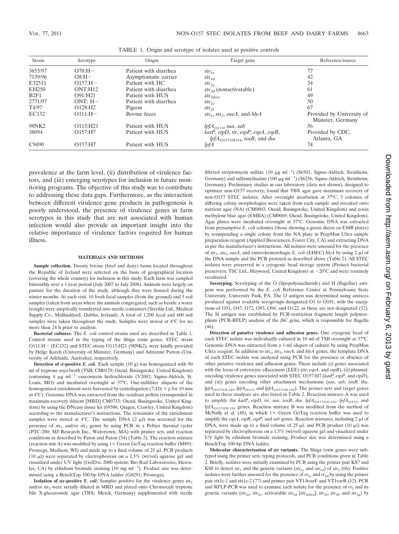| Strain<br>Serotype |                        | Origin                | Target gene                                                               | Reference/source                              |  |  |  |  |
|--------------------|------------------------|-----------------------|---------------------------------------------------------------------------|-----------------------------------------------|--|--|--|--|
| 3653/97            | $O78:H -$              | Patient with diarrhea | $stx_{1c}$                                                                | 77                                            |  |  |  |  |
| 7139/96            | $OS:H -$               | Asymptomatic carrier  | $stx_{1d}$                                                                | 42                                            |  |  |  |  |
| E32511             | $O157:H -$             | Patient with HC       | $stx_{2c}$                                                                | 34                                            |  |  |  |  |
| EH <sub>250</sub>  | ONT: H12               | Patient with diarrhea | $\frac{str_{2d}}{}$ (nonactivatable)                                      | 61                                            |  |  |  |  |
| B2F1               | $O91:$ H21             | Patient with HUS      | $stx_{2\textrm{dact}}$                                                    | 49                                            |  |  |  |  |
| 2771/97            | $ONT: H -$             | Patient with diarrhea | $\mathit{stx}_{2e}$                                                       | 50                                            |  |  |  |  |
| T4/97              | $O128:$ H <sub>2</sub> | Pigeon                | $stx_{2f}$                                                                | 67                                            |  |  |  |  |
| EC132              | $O111:H-$              | Bovine feces          | stx <sub>1</sub> , stx <sub>2</sub> , eaeA, and hlyA                      | Provided by University of<br>Münster, Germany |  |  |  |  |
| 98NK2              | O113: H21              | Patient with HUS      | $lpfA_{O113}$ , saa, sab                                                  | 56                                            |  |  |  |  |
| 38094              | O157:HT                | Patient with HUS      | katP, etpD, tir, espP, espA, espB,<br>$lpfA_{O157/O1154}$ , toxB, and iha | Provided by CDC,<br>Atlanta, GA               |  |  |  |  |
| C9490              | O157:H7                | Patient with HUS      | lpfA                                                                      | 74                                            |  |  |  |  |

TABLE 1. Origin and serotype of isolates used as positive controls

prevalence at the farm level, (ii) distribution of virulence factors, and (iii) emerging serotypes for inclusion in future monitoring programs. The objective of this study was to contribute to addressing these data gaps. Furthermore, as the interaction between different virulence gene products in pathogenesis is poorly understood, the presence of virulence genes in farm serotypes in this study that are not associated with human infection would also provide an important insight into the relative importance of virulence factors required for human illness.

### **MATERIALS AND METHODS**

**Sample collection.** Twenty bovine (beef and dairy) farms located throughout the Republic of Ireland were selected on the basis of geographical location (covering the whole country) for inclusion in this study. Each farm was sampled bimonthly over a 1-year period (July 2007 to July 2008). Animals were largely on pasture for the duration of the study, although they were housed during the winter months. At each visit, 10 fresh fecal samples (from the ground) and 5 soil samples (taken from areas where the animals congregated, such as beside a water trough) were aseptically transferred into sterile containers (Sterilin Ltd., Medical Supply Co., Mulhuddard, Dublin, Ireland). A total of 1,200 fecal and 600 soil samples were taken throughout the study. Samples were stored at 4°C for no more than 24 h prior to analysis.

**Bacterial cultures.** The *E. coli* control strains used are described in Table 1. Control strains used in the typing of the Shiga toxin genes, STEC strain O111:H- (EC132) and STEC strain O113:H21 (98NK2), were kindly provided by Helge Karch (University of Münster, Germany) and Adrienne Patton (University of Adelaide, Australia), respectively.

**Detection of** *vt***-positive** *E. coli.* Each sample (10 g) was homogenized with 90 ml of tryptone soya broth (TSB; CM0129; Oxoid, Basingstoke, United Kingdom) containing 4  $\mu$ g ml<sup>-1</sup> vancomycin hydrochloride (V2002; Sigma-Aldrich, St. Louis, MO) and incubated overnight at 37°C. One-milliliter aliquots of the homogenized enrichment were harvested by centrifugation  $(7,426 \times g$  for 10 min at 4°C). Genomic DNA was extracted from the resultant pellets (resuspended in maximum-recovery diluent [MRD] CM0733; Oxoid, Basingstoke, United Kingdom) by using the DNeasy tissue kit (69506; Qiagen, Crawley, United Kingdom) according to the manufacturer's instructions. The remainder of the enrichment samples were stored at  $4^{\circ}$ C. The sample DNA  $(2 \mu I)$  was screened for the presence of  $stx_1$  and/or  $stx_2$  genes by using PCR in a Peltier thermal cycler (PTC-200; MJ Research Inc., Watertown, MA) with primer sets and reaction conditions as described by Paton and Paton (54) (Table 2). The reaction mixture (reaction mix A) was modified by using  $1 \times$  Green GoTaq reaction buffer (M891; Promega, Madison, WI) and made up to a final volume of  $25 \mu l$ . PCR products (10  $\mu$ l) were separated by electrophoresis on a 1.5% (wt/vol) agarose gel and visualized under UV light (GelDoc 2000 system; Bio-Rad Laboratories, Hercules, CA) by ethidium bromide staining  $(10 \text{ mg ml}^{-1})$ . Product size was determined using a BenchTop 100-bp DNA ladder (G8291; Promega).

**Isolation of** *stx***-positive** *E. coli.* **Samples positive for the virulence genes**  $stx_1$ and/or  $stx_2$  were serially diluted in MRD and plated onto Chromocult tryptone bile X-glucuronide agar (TBX; Merck, Germany) supplemented with sterile

filtered streptomycin sulfate (10  $\mu$ g ml<sup>-1</sup>) (S6501; Sigma-Aldrich, Steinheim, Germany) and sulfamethazine (100  $\mu$ g ml<sup>-1</sup>) (S6256; Sigma-Aldrich, Steinheim, Germany). Preliminary studies in our laboratory (data not shown), designed to optimize non-O157 recovery, found that TBX agar gave maximum recovery of non-O157 STEC isolates. After overnight incubation at 37°C, 5 colonies of differing colony morphologies were taken from each sample and streaked onto nutrient agar (NA) (CM0003; Oxoid, Basingstoke, United Kingdom) and eosin methylene blue agar (EMBA) (CM0069; Oxoid, Basingstoke, United Kingdom). Agar plates were incubated overnight at 37°C. Genomic DNA was extracted from presumptive *E. coli* colonies (those showing a green sheen on EMB plates) by resuspending a single colony from the NA plate in PrepMan Ultra sample preparation reagent (Applied Biosciences, Foster City, CA) and extracting DNA as per the manufacturer's instructions. All isolates were assessed for the presence of  $stx_1, stx_2, eaeA$ , and enterohemorrhagic *E. coli* (EHEC)  $hlyA$  by using 2  $\mu$ l of the DNA sample and the PCR protocol as described above (Table 2). All STEC isolates were preserved in a cryogenic bead storage system (Protect bacterial preservers; TSC Ltd., Heywood, United Kingdom) at  $-20^{\circ}$ C and were routinely recultured.

**Serotyping.** Serotyping of the O (lipopolysaccharide) and H (flagellar) antigens was performed by the *E. coli* Reference Center at Pennsylvania State University, University Park, PA. The O antigen was determined using antisera produced against available serogroups designated O1 to O181, with the exceptions of O31, O47, O72, O93, O94, and O122, as these are not designated (52). The H antigen was established by PCR-restriction fragment length polymorphism (PCR-RFLP) analysis of the *fliC* gene, which is responsible for flagella (46).

**Detection of putative virulence and adhesion genes.** One cryogenic bead of each STEC isolate was individually cultured in 10 ml of TSB overnight at 37°C. Genomic DNA was extracted from a 1-ml aliquot of culture by using PrepMan Ultra reagent. In addition to *stx*1, *stx*2, *eaeA*, and *hlyA* genes, the template DNA of each STEC isolate was analyzed using PCR for the presence or absence of other putative virulence and adhesion genes. These include (i) genes associated with the locus of enterocyte effacement (LEE) (*tir*, *espA*, and *espB*), (ii) plasmidencoding virulence genes associated with STEC O157:H7 (*katP*, *espP*, and *etpD*), and (iii) genes encoding other attachment mechanisms (*saa*, *sab*, *toxB*, *iha*,  $lpfA_{O157/OI-141}$ ,  $lpfA_{O113}$ , and  $lpfA_{O157/OI-154}$ ). The primer sets and target genes used in these analyses are also listed in Table 2. Reaction mixture A was used to amplify the *katP*, *etpD*, *tir*, *saa*, *toxB*, *iha*,  $lpfA_{O157/OI-141}$ ,  $lpfA_{O113}$ , and *lpfA*O157/OI-154 genes. Reaction mixture B was modified from the method of McNally et al. (48), in which  $1 \times$  Green GoTaq reaction buffer was used to amplify the  $espA$ ,  $espB$ ,  $espP$ , and  $sab$  genes. Reaction mixtures, including 2  $\mu$ l of DNA, were made up to a final volume of  $25 \mu l$ , and PCR product  $(10 \mu l)$  was separated by electrophoresis on a 1.5% (wt/vol) agarose gel and visualized under UV light by ethidium bromide staining. Product size was determined using a BenchTop 100-bp DNA ladder.

**Molecular characterization of** *stx* **variants.** The Shiga toxin genes were subtyped using the primer sets, typing protocols, and PCR conditions given in Table 2. Briefly, isolates were initially examined by PCR using the primer pair KS7 and KS8 to detect  $stx_1$  and the genetic variants ( $stx_1$ c and  $stx_1$ d) of  $stx_1$  (66). Positive isolates were further assessed for the presence of  $vt_{1c}$  and  $vt_{1d}$  by using the primer pair stx1c-1 and stx1c-2 (77) and primer pair VT1AvarF and VT1varR (12). PCR and RFLP-PCR was used to examine each isolate for the presence of  $vt_2$  and its genetic variants ( $stx_{2a}$ ,  $stx_{2c}$ , activatable  $stx_{2d}$  [ $stx_{2dact}$ ],  $stx_{2e}$ ,  $stx_{2f}$ , and  $stx_{2g}$ ) by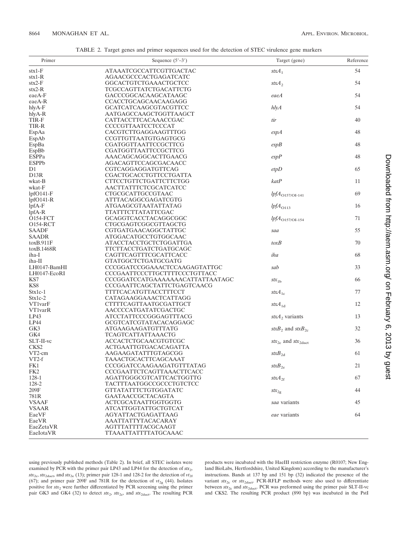| TABLE 2. Target genes and primer sequences used for the detection of STEC virulence gene markers |
|--------------------------------------------------------------------------------------------------|
|--------------------------------------------------------------------------------------------------|

| Primer                | Sequence $(5'-3')$                          | Target (gene)                                  | Reference |
|-----------------------|---------------------------------------------|------------------------------------------------|-----------|
| $\text{stx1-F}$       | ATAAATCGCCATTCGTTGACTAC                     | $stxA_1$                                       | 54        |
| $\text{stx1-R}$       | AGAACGCCCACTGAGATCATC                       |                                                |           |
| $\text{stx2-F}$       | GGCACTGTCTGAAACTGCTCC                       | $stxA_2$                                       | 54        |
| $\text{stx2-R}$       | TCGCCAGTTATCTGACATTCTG                      |                                                |           |
| eaeA-F                | GACCCGGCACAAGCATAAGC                        | eaeA                                           | 54        |
| eaeA-R                | CCACCTGCAGCAACAAGAGG                        |                                                |           |
| hlyA-F                | <b>GCATCATCAAGCGTACGTTCC</b>                | $h\bar{h}$                                     | 54        |
| hlyA-R                | AATGAGCCAAGCTGGTTAAGCT                      |                                                |           |
| TIR-F                 | CATTACCTTCACAAACCGAC                        | tir                                            | 40        |
| TIR-R                 | CCCCGTTAATCCTCCCAT                          |                                                |           |
| EspAa                 | CACGTCTTGAGGAAGTTTGG                        | espA                                           | 48        |
| EspAb                 | CCGTTGTTAATGTGAGTGCG                        |                                                |           |
| EspBa                 | CGATGGTTAATTCCGCTTCG                        | espB                                           | 48        |
| EspBb                 | CGATGGTTAATTCCGCTTCG                        |                                                |           |
| <b>ESPPa</b>          | AAACAGCAGGCACTTGAACG                        | $\varepsilon$ sp $P$                           | 48        |
| <b>ESPPb</b>          | AGACAGTTCCAGCGACAACC                        |                                                |           |
| D1                    | CGTCAGGAGGATGTTCAG                          | etpD                                           | 65        |
| D <sub>13</sub> R     | CGACTGCACCTGTTCCTGATTA                      |                                                |           |
| wkat-B                | CTTCCTGTTCTGATTCTTCTGG                      | katP                                           | 11        |
| wkat-F                | AACTTATTTCTCGCATCATCC                       |                                                |           |
| $lpfO141-F$           | CTGCGCATTGCCGTAAC                           | $lpfA_{O157/OI-141}$                           | 69        |
| $lpfO141-R$           | ATTTACAGGCGAGATCGTG                         |                                                |           |
| $lpfA-F$              | ATGAAGCGTAATATTATAG                         | $lpfA_{O113}$                                  | 16        |
| $lpfA-R$              | TTATTTCTTATATTCGAC                          |                                                |           |
| O154-FCT              | GCAGGTCACCTACAGGCGGC                        | $lpfA_{O157/OI-154}$                           | 71        |
| 0154-RCT              | <b>CTGCGAGTCGGCGTTAGCTG</b>                 |                                                |           |
| <b>SAADF</b>          | CGTGATGAACAGGCTATTGC                        | saa                                            | 55        |
| <b>SAADR</b>          | ATGGACATGCCTGTGGCAAC                        |                                                |           |
| to xB.911F            | ATACCTACCTGCTCTGGATTGA                      | toxB                                           | 70        |
| toxB.1468R            | TTCTTACCTGATCTGATGCAGC                      |                                                |           |
| iha-I                 | CAGTTCAGTTTCGCATTCACC                       | iha                                            | 68        |
| iha-II                | <b>GTATGGCTCTGATGCGATG</b>                  |                                                |           |
| LH0147-BamHI          | CCCGGATCCGGAAACTCCAAGAGTATTGC               | sab                                            | 33        |
| LH0147-EcoRI          | CCCGAATTCCCTTGCTTTTCCCTGTTACC               |                                                |           |
| KS7                   | CCCGGATCCATGAAAAAAACATTATTAATAGC            | $stx_{1b}$                                     | 66        |
| KS8                   | CCCGAATTCAGCTATTCTGAGTCAACG                 |                                                |           |
| $Stx1c-1$             | TTTTCACATGTTACCTTTCCT                       | $stxA_{1c}$                                    | 77        |
| Stx1c-2               | CATAGAAGGAAACTCATTAGG                       |                                                |           |
| VT1varF               | CTTTTCAGTTAATGCGATTGCT                      | $stxA_{1d}$                                    | 12        |
| <b>VT1varR</b>        | AACCCCATGATATCGACTGC                        |                                                |           |
| LP43                  | ATCCTATTCCCGGGAGTTTACG                      | $stxA_2$ variants                              | 13        |
| LP44                  | GCGTCATCGTATACACAGGAGC                      |                                                |           |
| GK3                   | ATGAAGAAGATGTTTATG                          | stx $B_2$ and stx $B_{2c}$                     | 32        |
| GK4                   | <b>TCAGTCATTATTAAACTG</b>                   |                                                |           |
| SLT-II-vc             | ACCACTCTGCAACGTGTCGC                        | $\textit{stx}_{2c}$ and $\textit{stx}_{2dact}$ | 36        |
| CKS2                  | ACTGAATTGTGACACAGATTA                       |                                                |           |
| VT2-cm                | AAGAAGATATTTGTAGCGG                         | $\mathit{stxB}_{2d}$                           | 61        |
| $VT2-f$               | TAAACTGCACTTCAGCAAAT                        |                                                |           |
| FK1                   | CCCGGATCCAAGAAGATGTTTATAG                   | $\mathit{stxB}_{2e}$                           | 21        |
| FK2                   | CCCGAATTCTCAGTTAAACTTCACC                   |                                                |           |
| 128-1                 | AGATTGGGCGTCATTCACTGGTTG                    | $stxA_{2f}$                                    | 67        |
| 128-2                 | TACTTTAATGGCCGCCCTGTCTCC                    |                                                |           |
| $209\mathrm{F}$       | GTTATATTTCTGTGGATATC                        | $stx_{2g}$                                     | 44        |
| 781R                  | GAATAACCGCTACAGTA                           |                                                |           |
| <b>VSAAF</b>          | ACTCGCATAATTGGTGGTG<br>ATCATTGGTATTGCTGTCAT | saa variants                                   | 45        |
| <b>VSAAR</b><br>EaeVF |                                             | eae variants                                   |           |
|                       | AGYATTACTGAGATTAAG                          |                                                | 64        |
| EaeVR<br>EaeZetaVR    | AAATTATTYTACACARAY<br>AGTTTATTTTACGCAAGT    |                                                |           |
| EaeIotaVR             | TTAAATTATTTTATGCAAAC                        |                                                |           |
|                       |                                             |                                                |           |

using previously published methods (Table 2). In brief, all STEC isolates were examined by PCR with the primer pair LP43 and LP44 for the detection of  $\text{str}_2$ ,  $stx_{2c}$ ,  $stx_{2dact}$ , and  $stx_{2e}$  (13); primer pair 128-1 and 128-2 for the detection of  $vt_{2f}$ (67); and primer pair 209F and 781R for the detection of  $vt_{2g}$  (44). Isolates positive for *stx*<sup>2</sup> were further differentiated by PCR screening using the primer pair GK3 and GK4 (32) to detect  $stx_2$ ,  $stx_2$ , and  $stx_2$ <sub>dact</sub>. The resulting PCR products were incubated with the HaeIII restriction enzyme (R0107; New England BioLabs, Hertfordshire, United Kingdom) according to the manufacturer's instructions. Bands at 137 bp and 151 bp (32) indicated the presence of the variant  $stx_{2c}$  or  $stx_{2dact}$ . PCR-RFLP methods were also used to differentiate between  $\text{str}_{2c}$  and  $\text{str}_{2dact}$ . PCR was preformed using the primer pair SLT-II-vc and CKS2. The resulting PCR product (890 bp) was incubated in the PstI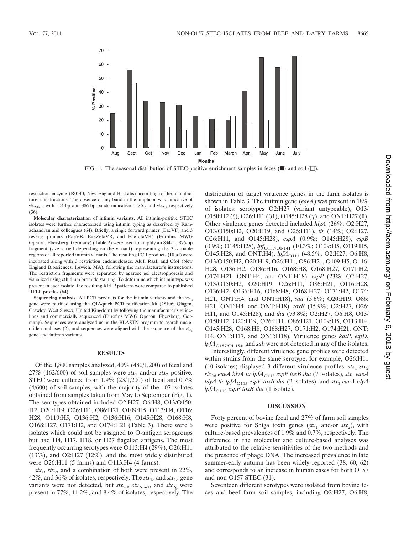

FIG. 1. The seasonal distribution of STEC-positive enrichment samples in feces  $(\blacksquare)$  and soil  $(\square)$ .

restriction enzyme (R0140; New England BioLabs) according to the manufacturer's instructions. The absence of any band in the amplicon was indicative of  $stx_{2\textrm{dact}}$ , with 504-bp and 386-bp bands indicative of  $stx_2$  and  $stx_{2c}$ , respectively (36).

**Molecular characterization of intimin variants.** All intimin-positive STEC isolates were further characterized using intimin typing as described by Ramachandran and colleagues (64). Briefly, a single forward primer (EaeVF) and 3 reverse primers (EaeVR, EaeZetaVR, and EaeIotaVR) (Eurofins MWG Operon, Ebersberg, Germany) (Table 2) were used to amplify an 834- to 876-bp fragment (size varied depending on the variant) representing the 3'-variable regions of all reported intimin variants. The resulting PCR products  $(10 \mu l)$  were incubated along with 3 restriction endonucleases, AluI, RsaI, and CfoI (New England Biosciences, Ipswich, MA), following the manufacturer's instructions. The restriction fragments were separated by agarose gel electrophoresis and visualized using ethidium bromide staining. To determine which intimin type was present in each isolate, the resulting RFLP patterns were compared to published RFLP profiles (64).

**Sequencing analysis.** All PCR products for the intimin variants and the  $vt_{2g}$ gene were purified using the QIAquick PCR purification kit (28106; Qiagen, Crawley, West Sussex, United Kingdom) by following the manufacturer's guidelines and commercially sequenced (Eurofins MWG Operon, Ebersberg, Germany). Sequences were analyzed using the BLASTN program to search nucleotide databases (2), and sequences were aligned with the sequence of the  $vt_{2g}$ gene and intimin variants.

#### **RESULTS**

Of the 1,800 samples analyzed, 40% (480/1,200) of fecal and 27% (162/600) of soil samples were  $stx_1$  and/or  $stx_2$  positive. STEC were cultured from 1.9% (23/1,200) of fecal and 0.7% (4/600) of soil samples, with the majority of the 107 isolates obtained from samples taken from May to September (Fig. 1). The serotypes obtained included O2:H27, O6:H8, O13/O150: H2, O20:H19, O26:H11, O86:H21, O109:H5, O113:H4, O116: H28, O119:H5, O136:H2, O136:H16, O145:H28, O168:H8, O168:H27, O171:H2, and O174:H21 (Table 3). There were 6 isolates which could not be assigned to O-antigen serogroups but had H4, H17, H18, or H27 flagellar antigens. The most frequently occurring serotypes were O113:H4 (29%), O26:H11 (13%), and O2:H27 (12%), and the most widely distributed were O26:H11 (5 farms) and O113:H4 (4 farms).

 $stx_1$ ,  $stx_2$ , and a combination of both were present in 22%, 42%, and 36% of isolates, respectively. The  $stx_{1c}$  and  $stx_{1d}$  gene variants were not detected, but  $\mathit{str}_{2d}$ ,  $\mathit{str}_{2dact}$ , and  $\mathit{str}_{2g}$  were present in 77%, 11.2%, and 8.4% of isolates, respectively. The distribution of target virulence genes in the farm isolates is shown in Table 3. The intimin gene (*eaeA*) was present in 18% of isolates: serotypes O2:H27 (variant untypeable), O13/ O150:H2 ( $\zeta$ ), O26:H11 ( $\beta$ 1), O145:H28 ( $\gamma$ ), and ONT:H27 ( $\theta$ ). Other virulence genes detected included *hlyA* (26%; O2:H27, O13/O150:H2, O20:H19, and O26:H11), *tir* (14%; O2:H27, O26:H11, and O145:H28), *espA* (0.9%; O145:H28), *espB* (0.9%; O145:H28), *lpf*<sub>O157/OI-141</sub> (10.3%; O109:H5, O119:H5, O145:H28, and ONT:H4),  $lpA_{O113}$  (48.5%; O2:H27, O6:H8, O13/O150:H2, O20:H19, O26:H11, O86:H21, O109:H5, O116: H28, O136:H2, O136:H16, O168:H8, O168:H27, O171:H2, O174:H21, ONT:H4, and ONT:H18), *espP* (23%; O2:H27, O13/O150:H2, O20:H19, O26:H11, O86:H21, O116:H28, O136:H2, O136:H16, O168:H8, O168:H27, O171:H2, O174: H21, ONT:H4, and ONT:H18), *saa* (5.6%; O20:H19, O86: H21, ONT:H4, and ONT:H18), *toxB* (15.9%; O2:H27, O26: H11, and O145:H28), and *iha* (73.8%; O2:H27, O6:H8, O13/ O150:H2, O20:H19, O26:H11, O86:H21, O109:H5, O113:H4, O145:H28, O168:H8, O168:H27, O171:H2, O174:H21, ONT: H4, ONT:H17, and ONT:H18). Virulence genes *katP*, *etpD*, lpfA<sub>O157/OI-154</sub>, and *sab* were not detected in any of the isolates.

Interestingly, different virulence gene profiles were detected within strains from the same serotype; for example, O26:H11 (10 isolates) displayed 3 different virulence profiles:  $\delta x_1 \delta x_2$ *stx*<sub>2d</sub> *eaeA hlyA tir lpfA*<sub>O113</sub> *espP toxB iha* (7 isolates), *stx*<sub>1</sub> *eaeA hlyA tir lpfA*<sub> $O$ 113</sub> *espP toxB iha* (2 isolates), and *stx*<sub>1</sub> *eaeA hlyA lpfA*<sub> $O$ 113</sub> *espP toxB iha* (1 isolate).

# **DISCUSSION**

Forty percent of bovine fecal and 27% of farm soil samples were positive for Shiga toxin genes  $(stx_1 \text{ and/or } stx_2)$ , with culture-based prevalences of 1.9% and 0.7%, respectively. The difference in the molecular and culture-based analyses was attributed to the relative sensitivities of the two methods and the presence of phage DNA. The increased prevalence in late summer-early autumn has been widely reported (38, 60, 62) and corresponds to an increase in human cases for both O157 and non-O157 STEC (31).

Seventeen different serotypes were isolated from bovine feces and beef farm soil samples, including O2:H27, O6:H8,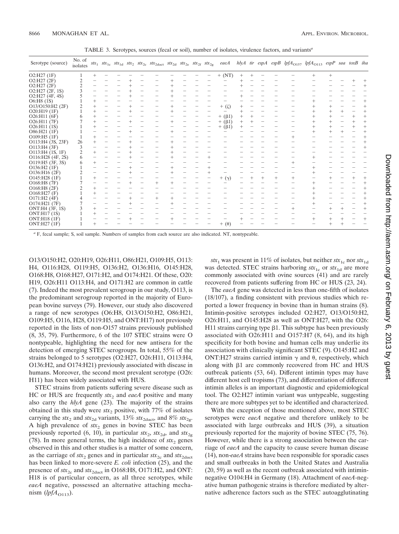| TABLE 3. Serotypes, sources (fecal or soil), number of isolates, virulence factors, and variants <sup>a</sup> |  |  |
|---------------------------------------------------------------------------------------------------------------|--|--|
|                                                                                                               |  |  |

| Serotype (source) | No. of<br>isolates |      |  |  | $stx_1 \quad stx_{1c} \quad stx_{1d} \quad stx_2 \quad stx_{2c} \quad stx_{2dact} \quad stx_{2d} \quad stx_{2e} \quad stx_{2f} \quad stx_{2g}$ |  |  | eaeA             |  |  | hlyA tir espA espB lpfA <sub>O157</sub> lpfA <sub>O113</sub> espP saa toxB iha |        |  |                   |
|-------------------|--------------------|------|--|--|------------------------------------------------------------------------------------------------------------------------------------------------|--|--|------------------|--|--|--------------------------------------------------------------------------------|--------|--|-------------------|
| $O2:$ H27 $(1F)$  |                    |      |  |  |                                                                                                                                                |  |  | $+$ (NT)         |  |  |                                                                                | $^{+}$ |  |                   |
| $O2:$ H27 $(2F)$  |                    |      |  |  |                                                                                                                                                |  |  |                  |  |  |                                                                                |        |  |                   |
| O2:H27 (2F)       |                    |      |  |  |                                                                                                                                                |  |  |                  |  |  |                                                                                |        |  |                   |
| O2:H27 (2F, 1S)   |                    |      |  |  |                                                                                                                                                |  |  |                  |  |  |                                                                                |        |  |                   |
| O2:H27 (4F, 4S)   |                    |      |  |  |                                                                                                                                                |  |  |                  |  |  |                                                                                |        |  |                   |
| O6:H8 (1S)        |                    |      |  |  |                                                                                                                                                |  |  |                  |  |  |                                                                                |        |  |                   |
| O13/O150:H2 (2F)  |                    |      |  |  |                                                                                                                                                |  |  | $+$ (ζ)          |  |  |                                                                                |        |  |                   |
| O20:H19 (1F)      |                    |      |  |  |                                                                                                                                                |  |  |                  |  |  |                                                                                |        |  | $^{+}$            |
| O26:H11 (6F)      |                    |      |  |  |                                                                                                                                                |  |  | $+$ ( $\beta$ 1) |  |  |                                                                                |        |  | $\! + \!\!\!\!$   |
| O26:H11 (7F)      |                    |      |  |  |                                                                                                                                                |  |  | $+$ ( $\beta$ 1) |  |  |                                                                                |        |  | $\qquad \qquad +$ |
| O26:H11 (1S)      |                    |      |  |  |                                                                                                                                                |  |  | $+$ ( $\beta$ 1) |  |  |                                                                                |        |  | $^{+}$            |
| O86:H21 (1F)      |                    |      |  |  |                                                                                                                                                |  |  |                  |  |  |                                                                                |        |  |                   |
| O109:H5(1F)       |                    | $^+$ |  |  |                                                                                                                                                |  |  |                  |  |  |                                                                                |        |  |                   |
| O113:H4 (3S, 23F) | 26                 | ٠    |  |  |                                                                                                                                                |  |  |                  |  |  |                                                                                |        |  |                   |
| O113:H4 (3F)      |                    |      |  |  |                                                                                                                                                |  |  |                  |  |  |                                                                                |        |  |                   |
| O113:H4 (1S, 1F)  |                    | $^+$ |  |  |                                                                                                                                                |  |  |                  |  |  |                                                                                |        |  |                   |
| O116:H28 (4F, 2S) | 6                  |      |  |  |                                                                                                                                                |  |  |                  |  |  |                                                                                |        |  |                   |
| O119:H5 (3F, 3S)  | 6                  |      |  |  |                                                                                                                                                |  |  |                  |  |  |                                                                                |        |  |                   |
| O136:H2 (1F)      |                    |      |  |  |                                                                                                                                                |  |  |                  |  |  |                                                                                |        |  |                   |
| O136:H16 (2F)     |                    |      |  |  |                                                                                                                                                |  |  |                  |  |  |                                                                                |        |  |                   |
| O145:H28 (1F)     |                    | $^+$ |  |  |                                                                                                                                                |  |  | $+$ $(\gamma)$   |  |  |                                                                                |        |  |                   |
| O168:H8 (7F)      |                    |      |  |  |                                                                                                                                                |  |  |                  |  |  |                                                                                |        |  |                   |
| O168:H8 (2F)      |                    |      |  |  |                                                                                                                                                |  |  |                  |  |  |                                                                                |        |  |                   |
| O168: H27(F)      |                    |      |  |  |                                                                                                                                                |  |  |                  |  |  |                                                                                |        |  |                   |
| O171:H2 (4F)      |                    |      |  |  | $^+$                                                                                                                                           |  |  |                  |  |  |                                                                                |        |  |                   |
| O174:H21 (7F)     |                    |      |  |  |                                                                                                                                                |  |  |                  |  |  |                                                                                |        |  |                   |
| ONT:H4 (3F, 1S)   |                    | $^+$ |  |  |                                                                                                                                                |  |  |                  |  |  |                                                                                |        |  | $^{+}$            |
| ONT:H17 (1S)      |                    | ٠    |  |  |                                                                                                                                                |  |  |                  |  |  |                                                                                |        |  |                   |
| ONT:H18 (1F)      |                    |      |  |  |                                                                                                                                                |  |  |                  |  |  |                                                                                |        |  |                   |
| ONT:H27 (1F)      |                    | $^+$ |  |  |                                                                                                                                                |  |  | $+$ ( $\theta$ ) |  |  |                                                                                |        |  |                   |

*<sup>a</sup>* F, fecal sample; S, soil sample. Numbers of samples from each source are also indicated. NT, nontypeable.

O13/O150:H2, O20:H19, O26:H11, O86:H21, O109:H5, O113: H4, O116:H28, O119:H5, O136:H2, O136:H16, O145:H28, O168:H8, O168:H27, O171:H2, and O174:H21. Of these, O20: H19, O26:H11 O113:H4, and O171:H2 are common in cattle (7). Indeed the most prevalent serogroup in our study, O113, is the predominant serogroup reported in the majority of European bovine surveys (79). However, our study also discovered a range of new serotypes (O6:H8, O13/O150:H2, O86:H21, O109:H5, O116, H28, O119:H5, and ONT:H17) not previously reported in the lists of non-O157 strains previously published (8, 35, 79). Furthermore, 6 of the 107 STEC strains were O nontypeable, highlighting the need for new antisera for the detection of emerging STEC serogroups. In total, 55% of the strains belonged to 5 serotypes (O2:H27, O26:H11, O113:H4, O136:H2, and O174:H21) previously associated with disease in humans. Moreover, the second most prevalent serotype (O26: H11) has been widely associated with HUS.

STEC strains from patients suffering severe disease such as HC or HUS are frequently  $\text{str}_2$  and *eaeA* positive and many also carry the *hlyA* gene (23). The majority of the strains obtained in this study were  $stx_2$  positive, with  $77\%$  of isolates carrying the *stx*<sub>2</sub> and *stx*<sub>2d</sub> variants, 13% *stx*<sub>2dact</sub>, and 8% *stx*<sub>2g</sub>. A high prevalence of  $stx_2$  genes in bovine STEC has been previously reported (6, 10), in particular  $\delta x_2$ ,  $\delta x_2$ , and  $\delta x_2$ (78). In more general terms, the high incidence of  $stx_2$  genes observed in this and other studies is a matter of some concern, as the carriage of  $stx_2$  genes and in particular  $stx_2$  and  $stx_2$ has been linked to more-severe *E. coli* infection (25), and the presence of  $stx_{2c}$  and  $stx_{2dact}$  in O168:H8, O171:H2, and ONT: H18 is of particular concern, as all three serotypes, while *eaeA* negative, possessed an alternative attaching mechanism  $(hfA_{O113})$ .

*stx*<sub>1</sub> was present in 11% of isolates, but neither  $stx_{1c}$  nor  $stx_{1d}$ was detected. STEC strains harboring  $stx_{1c}$  or  $stx_{1d}$  are more commonly associated with ovine sources (41) and are rarely recovered from patients suffering from HC or HUS (23, 24).

The *eaeA* gene was detected in less than one-fifth of isolates (18/107), a finding consistent with previous studies which reported a lower frequency in bovine than in human strains (8). Intimin-positive serotypes included O2:H27, O13/O150:H2, O26:H11, and O145:H28 as well as ONT:H27, with the O26: H11 strains carrying type  $\beta$ 1. This subtype has been previously associated with O26:H11 and O157:H7 (8, 64), and its high specificity for both bovine and human cells may underlie its association with clinically significant STEC (9). O145:H2 and ONT:H27 strains carried intimin  $\gamma$  and  $\theta$ , respectively, which along with  $\beta$ 1 are commonly recovered from HC and HUS outbreak patients (53, 64). Different intimin types may have different host cell tropisms (73), and differentiation of different intimin alleles is an important diagnostic and epidemiological tool. The O2:H27 intimin variant was untypeable, suggesting there are more subtypes yet to be identified and characterized.

With the exception of those mentioned above, most STEC serotypes were *eaeA* negative and therefore unlikely to be associated with large outbreaks and HUS (39), a situation previously reported for the majority of bovine STEC (75, 76). However, while there is a strong association between the carriage of *eaeA* and the capacity to cause severe human disease (14), non-*eaeA* strains have been responsible for sporadic cases and small outbreaks in both the United States and Australia (20, 59) as well as the recent outbreak associated with intiminnegative O104:H4 in Germany (18). Attachment of *eaeA*-negative human pathogenic strains is therefore mediated by alternative adherence factors such as the STEC autoagglutinating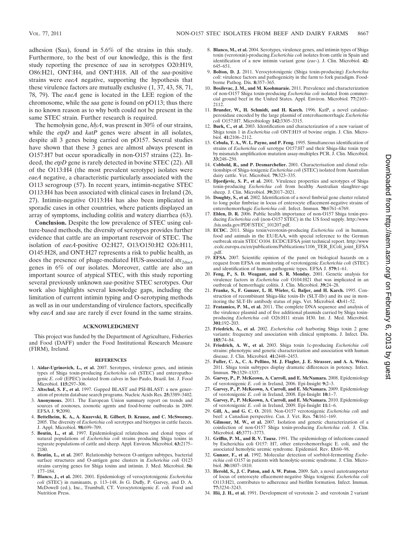adhesion (Saa), found in 5.6% of the strains in this study. Furthermore, to the best of our knowledge, this is the first study reporting the presence of *saa* in serotypes O20:H19, O86:H21, ONT:H4, and ONT:H18. All of the *saa-*positive strains were *eaeA* negative, supporting the hypothesis that these virulence factors are mutually exclusive (1, 37, 43, 58, 71, 78, 79). The *eaeA* gene is located in the LEE region of the chromosome, while the *saa* gene is found on pO113; thus there is no known reason as to why both could not be present in the same STEC strain. Further research is required.

The hemolysin gene, *hlyA*, was present in 30% of our strains, while the *etpD* and *katP* genes were absent in all isolates, despite all 3 genes being carried on pO157. Several studies have shown that these 3 genes are almost always present in O157:H7 but occur sporadically in non-O157 strains (22). Indeed, the *etpD* gene is rarely detected in bovine STEC (22). All of the O113:H4 (the most prevalent serotype) isolates were *eaeA* negative, a characteristic particularly associated with the O113 serogroup (57). In recent years, intimin-negative STEC O113:H4 has been associated with clinical cases in Ireland (26, 27). Intimin-negative O113:H4 has also been implicated in sporadic cases in other countries, where patients displayed an array of symptoms, including colitis and watery diarrhea (63).

**Conclusion.** Despite the low prevalence of STEC using culture-based methods, the diversity of serotypes provides further evidence that cattle are an important reservoir of STEC. The isolation of *eaeA*-positive O2:H27, O13/O150:H2 O26:H11, O145:H28, and ONT:H27 represents a risk to public health, as does the presence of phage-mediated HUS-associated *stx*<sub>2dact</sub> genes in 6% of our isolates. Moreover, cattle are also an important source of atypical STEC, with this study reporting several previously unknown *saa-*positive STEC serotypes. Our work also highlights several knowledge gaps, including the limitation of current intimin typing and O-serotyping methods as well as in our understanding of virulence factors, specifically why *eaeA* and *saa* are rarely if ever found in the same strains.

# **ACKNOWLEDGMENT**

This project was funded by the Department of Agriculture, Fisheries and Food (DAFF) under the Food Institutional Research Measure (FIRM), Ireland.

### **REFERENCES**

- 1. **Aidar-Ugrinovich, L., et al.** 2007. Serotypes, virulence genes, and intimin types of Shiga toxin-producing *Escherichia coli* (STEC) and enteropathogenic *E. coli* (EPEC) isolated from calves in Sao Paulo, Brazil. Int. J. Food Microbiol. **115:**297–306.
- 2. **Altschul, S. F., et al.** 1997. Gapped BLAST and PSI-BLAST: a new generation of protein database search programs. Nucleic Acids Res. **25:**3389–3402.
- 3. **Anonymous.** 2011. The European Union summary report on trends and sources of zoonoses, zoonotic agents and food-borne outbreaks in 2009. EFSA J. **9:**2090.
- 4. **Bettelheim, K. A., A. Kuzevski, R. Gilbert, D. Krause, and C. McSweeney.** 2005. The diversity of *Escherichia coli* serotypes and biotypes in cattle faeces. J. Appl. Microbiol. **98:**699–709.
- 5. **Beutin, L., et al.** 1997. Epidemiological relatedness and clonal types of natural populations of *Escherichia coli* strains producing Shiga toxins in separate populations of cattle and sheep. Appl. Environ. Microbiol. **63:**2175– 2180.
- 6. **Beutin, L., et al.** 2007. Relationship between O-antigen subtypes, bacterial surface structures and O-antigen gene clusters in *Escherichia coli* O123 strains carrying genes for Shiga toxins and intimin. J. Med. Microbiol. **56:** 177–184.
- 7. **Blanco, J., et al.** 2001. 2001. Epidemiology of verocytotoxigenic *Escherichia coli* (STEC) in ruminants, p. 113–148. *In* G. Duffy, P. Garvey, and D. A. McDowell (ed.), Inc., Trumbull, CT. Verocytotoxigenic *E. coli.* Food and Nutrition Press.
- 8. **Blanco, M., et al.** 2004. Serotypes, virulence genes, and intimin types of Shiga toxin (verotoxin)-producing *Escherichia coli* isolates from cattle in Spain and identification of a new intimin variant gene (*eae*-). J. Clin. Microbiol. **42:** 645–651.
- 9. **Bolton, D. J.** 2011. Verocytotoxigenic (Shiga toxin-producing) *Escherichia coli*: virulence factors and pathogenicity in the farm to fork paradigm. Foodborne Pathog. Dis. **8:**357–365.
- 10. **Bosilevac, J. M., and M. Koohmaraie.** 2011. Prevalence and characterization of non-O157 Shiga toxin-producing *Escherichia coli* isolated from commercial ground beef in the United States. Appl. Environ. Microbiol. **77:**2103– 2112.
- 11. **Brunder, W., H. Schmidt, and H. Karch.** 1996. KatP, a novel catalaseperoxidase encoded by the large plasmid of enterohaemorrhagic *Escherichia coli* O157:H7. Microbiology **142:**3305–3315.
- 12. **Burk, C., et al.** 2003. Identification and characterization of a new variant of Shiga toxin 1 in *Escherichia coli* ONT:H19 of bovine origin. J. Clin. Microbiol. **41:**2106–2112.
- 13. **Cebula, T. A., W. L. Payne, and P. Feng.** 1995. Simultaneous identification of strains of *Escherichia coli* serotype O157:H7 and their Shiga-like toxin type by mismatch amplification mutation assay-multiplex PCR. J. Clin. Microbiol. **33:**248–250.
- 14. **Cobbold, R., and P. Desmarchelier.** 2001. Characterisation and clonal relationships of Shiga-toxigenic *Escherichia coli* (STEC) isolated from Australian dairy cattle. Vet. Microbiol. **79:**323–335.
- 15. **Djordjevic, S. P., et al.** 2001. Virulence properties and serotypes of Shiga toxin-producing *Escherichia coli* from healthy Australian slaughter-age sheep. J. Clin. Microbiol. **39:**2017–2021.
- 16. **Doughty, S., et al.** 2002. Identification of a novel fimbrial gene cluster related to long polar fimbriae in locus of enterocyte effacement-negative strains of enterohemorrhagic *Escherichia coli*. Infect. Immun. **70:**6761–6769.
- 17. **Eblen, D. R.** 2006. Public health importance of non-O157 Shiga toxin-producing *Escherichia coli* (non-O157 STEC) in the US food supply. http://www .fsis.usda.gov/PDF/STEC\_101207.pdf.
- 18. **ECDC.** 2011. Shiga toxin/verotoxin-producing *Escherichia coli* in humans, food and animals in the EU/EAA, with special reference to the German outbreak strain STEC O104. ECDC/EFSA joint technical report. http://www .ecdc.europa.eu/en/publications/Publications/1106\_TER\_EColi\_joint\_EFSA .pdf.
- 19. **EFSA.** 2007. Scientific opinion of the panel on biological hazards on a request from EFSA on monitoring of verotoxigenic *Escherichia coli* (STEC) and identification of human pathogenic types. EFSA J. **579:**1–61.
- 20. **Feng, P., S. D. Weagant, and S. R. Monday.** 2001. Genetic analysis for virulence factors in *Escherichia coli* O104:H21 that was implicated in an outbreak of hemorrhagic colitis. J. Clin. Microbiol. **39:**24–28.
- 21. **Franke, S., F. Gunzer, L. H. Wieler, G. Baljer, and H. Karch.** 1995. Construction of recombinant Shiga-like toxin-IIv (SLT-IIv) and its use in monitoring the SLT-IIv antibody status of pigs. Vet. Microbiol. **43:**41–52.
- 22. **Fratamico, P. M., et al.** 2011. The complete DNA sequence and analysis of the virulence plasmid and of five additional plasmids carried by Shiga toxinproducing *Escherichia coli* O26:H11 strain H30. Int. J. Med. Microbiol. **301:**192–203.
- 23. **Friedrich, A., et al.** 2002. *Escherichia coli* harboring Shiga toxin 2 gene variants: frequency and association with clinical symptoms. J. Infect. Dis. **185:**74–84.
- 24. **Friedrich, A. W., et al.** 2003. Shiga toxin 1c-producing *Escherichia coli* strains: phenotypic and genetic characterization and association with human disease. J. Clin. Microbiol. **41:**2448–2453.
- 25. **Fuller, C. A., C. A. Pellino, M. J. Flagler, J. E. Strasser, and A. A. Weiss.** 2011. Shiga toxin subtypes display dramatic differences in potency. Infect. Immun. **79:**1329–1337.
- 26. **Garvey, P., P. McKeown, A. Carroll, and E. McNamara.** 2008. Epidemiology of verotoxigenic *E. coli* in Ireland, 2006. Epi-Insight **9:**2–3.
- 27. **Garvey, P., P. McKeown, A. Carroll, and E. McNamara.** 2009. Epidemiology of verotoxigenic *E. coli* in Ireland, 2008. Epi-Insight **10:**1–7.
- 28. **Garvey, P., P. McKeown, A. Carroll, and E. McNamara.** 2010. Epidemiology of verotoxigenic *E. coli* in Ireland, 2009. Epi-Insight **11:**1–6.
- 29. **Gill, A., and G. C. O.** 2010. Non-O157 verotoxigenic *Escherichia coli* and beef: a Canadian perspective. Can. J. Vet. Res. **74:**161–169.
- 30. **Gilmour, M. W., et al.** 2007. Isolation and genetic characterization of a coinfection of non-O157 Shiga toxin-producing *Escherichia coli*. J. Clin. Microbiol. **45:**3771–3773.
- 31. **Griffin, P. M., and R. V. Tauxe.** 1991. The epidemiology of infections caused by Escherichia coli O157: H7, other enterohemorrhagic E. coli, and the associated hemolytic uremic syndrome. Epidemiol. Rev. **13:**60–98.
- 32. **Gunzer, F., et al.** 1992. Molecular detection of sorbitol-fermenting *Escherichia coli* O157 in patients with hemolytic-uremic syndrome. J. Clin. Microbiol. **30:**1807–1810.
- 33. **Herold, S., J. C. Paton, and A. W. Paton.** 2009. Sab, a novel autotransporter of locus of enterocyte effacement-negative Shiga toxigenic *Escherichia coli* O113:H21, contributes to adherence and biofilm formation. Infect. Immun. **77:**3234–3243.
- 34. **Hii, J. H., et al.** 1991. Development of verotoxin 2- and verotoxin 2 variant